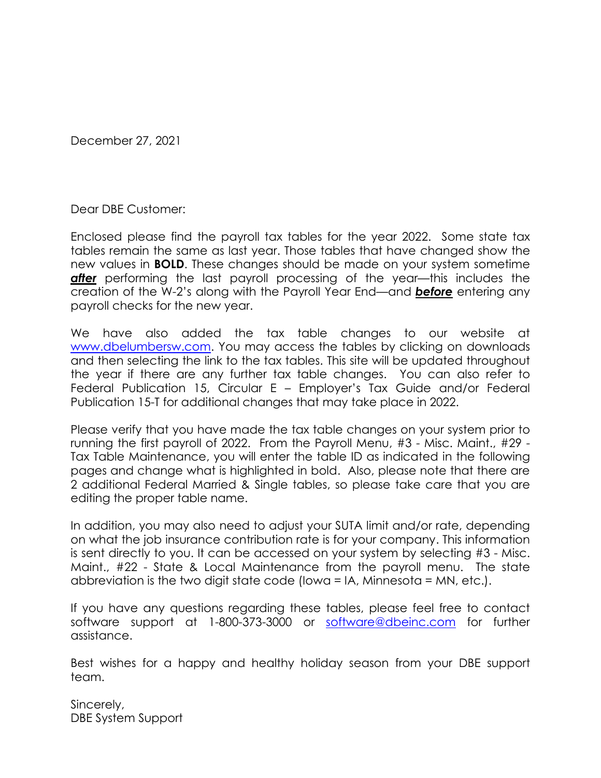December 27, 2021

Dear DBE Customer:

Enclosed please find the payroll tax tables for the year 2022. Some state tax tables remain the same as last year. Those tables that have changed show the new values in **BOLD**. These changes should be made on your system sometime **after** performing the last payroll processing of the year—this includes the creation of the W-2's along with the Payroll Year End—and *before* entering any payroll checks for the new year.

We have also added the tax table changes to our website at [www.dbelumbersw.com.](http://www.dbelumbersw.com/) You may access the tables by clicking on downloads and then selecting the link to the tax tables. This site will be updated throughout the year if there are any further tax table changes. You can also refer to Federal Publication 15, Circular E – Employer's Tax Guide and/or Federal Publication 15-T for additional changes that may take place in 2022.

Please verify that you have made the tax table changes on your system prior to running the first payroll of 2022. From the Payroll Menu, #3 - Misc. Maint., #29 - Tax Table Maintenance, you will enter the table ID as indicated in the following pages and change what is highlighted in bold. Also, please note that there are 2 additional Federal Married & Single tables, so please take care that you are editing the proper table name.

In addition, you may also need to adjust your SUTA limit and/or rate, depending on what the job insurance contribution rate is for your company. This information is sent directly to you. It can be accessed on your system by selecting #3 - Misc. Maint., #22 - State & Local Maintenance from the payroll menu. The state abbreviation is the two digit state code (Iowa = IA, Minnesota = MN, etc.).

If you have any questions regarding these tables, please feel free to contact software support at 1-800-373-3000 or [software@dbeinc.com](mailto:software@dbeinc.com) for further assistance.

Best wishes for a happy and healthy holiday season from your DBE support team.

Sincerely, DBE System Support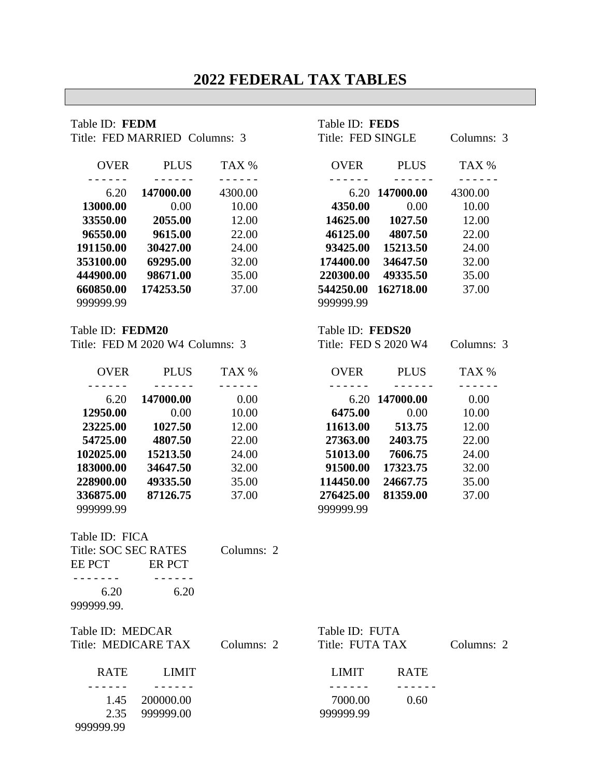# **2022 FEDERAL TAX TABLES**

| Table ID: FEDM<br>Title: FED MARRIED Columns: 3                                                                                       |                                                                                                                                                                 |                                                                                                                         | Table ID: FEDS<br>Title: FED SINGLE                                    |                                                                                                                                                         | Columns: 3                                                                                                                                        |
|---------------------------------------------------------------------------------------------------------------------------------------|-----------------------------------------------------------------------------------------------------------------------------------------------------------------|-------------------------------------------------------------------------------------------------------------------------|------------------------------------------------------------------------|---------------------------------------------------------------------------------------------------------------------------------------------------------|---------------------------------------------------------------------------------------------------------------------------------------------------|
| <b>OVER</b>                                                                                                                           | <b>PLUS</b>                                                                                                                                                     | TAX %                                                                                                                   |                                                                        | OVER PLUS                                                                                                                                               | TAX %                                                                                                                                             |
| 6.20<br>13000.00<br>33550.00<br>96550.00<br>191150.00<br>353100.00<br>444900.00<br>660850.00<br>999999.99                             | $\frac{1}{2}$ .<br><br><br><br><br><br><br><br><br><br><br><br><br><br>147000.00<br>0.00<br>2055.00<br>9615.00<br>30427.00<br>69295.00<br>98671.00<br>174253.50 | $\frac{1}{2}$<br>4300.00<br>10.00<br>12.00<br>22.00<br>24.00<br>32.00<br>35.00<br>37.00                                 | $- - - - - -$<br>4350.00<br>220300.00<br>544250.00<br>999999.99        | $\frac{1}{2}$<br>6.20 147000.00<br>$0.00\,$<br>14625.00 1027.50<br>46125.00 4807.50<br>93425.00 15213.50<br>174400.00 34647.50<br>49335.50<br>162718.00 | $\frac{1}{2}$ .<br><br><br><br><br><br><br><br><br><br><br><br><br><br><br>4300.00<br>10.00<br>12.00<br>22.00<br>24.00<br>32.00<br>35.00<br>37.00 |
| Table ID: FEDM20                                                                                                                      | Title: FED M 2020 W4 Columns: 3                                                                                                                                 |                                                                                                                         | Table ID: FEDS20                                                       | Title: FED S 2020 W4                                                                                                                                    | Columns: 3                                                                                                                                        |
|                                                                                                                                       | OVER PLUS                                                                                                                                                       | TAX %                                                                                                                   |                                                                        | OVER PLUS                                                                                                                                               | TAX %                                                                                                                                             |
| 6.20<br>12950.00<br>23225.00<br>54725.00<br>102025.00<br>183000.00<br>228900.00<br>336875.00<br>999999.99<br>Table ID: FICA<br>EE PCT | 147000.00<br>0.00<br>1027.50<br>4807.50<br>15213.50<br>34647.50<br>49335.50<br>87126.75<br>ER PCT                                                               | $- - - - - -$<br>0.00<br>10.00<br>12.00<br>22.00<br>24.00<br>32.00<br>35.00<br>37.00<br>Title: SOC SEC RATES Columns: 2 | 6475.00<br>51013.00<br>91500.00<br>114450.00<br>276425.00<br>999999.99 | 6.20 147000.00<br>$0.00\,$<br>11613.00 513.75<br>27363.00 2403.75<br>7606.75<br>17323.75<br>24667.75<br>81359.00                                        | 0.00<br>10.00<br>12.00<br>22.00<br>24.00<br>32.00<br>35.00<br>37.00                                                                               |
| 6.20<br>6.20<br>999999.99.<br>Table ID: MEDCAR<br>Title: MEDICARE TAX<br><b>RATE</b><br><b>LIMIT</b>                                  |                                                                                                                                                                 | Columns: 2                                                                                                              | Table ID: FUTA<br>Title: FUTA TAX<br>LIMIT                             | <b>RATE</b>                                                                                                                                             | Columns: 2                                                                                                                                        |
| 1.45<br>2.35<br>999999.99                                                                                                             | 200000.00<br>999999.00                                                                                                                                          |                                                                                                                         | 7000.00<br>999999.99                                                   | 0.60                                                                                                                                                    |                                                                                                                                                   |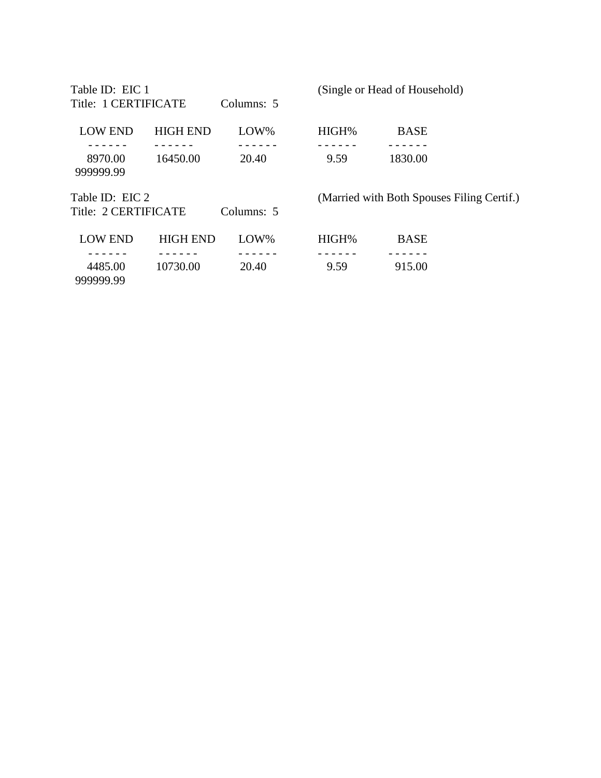Table ID: EIC 1 (Single or Head of Household) Title: 1 CERTIFICATE Columns: 5 LOW END HIGH END LOW% HIGH% BASE - - - - - - - - - - - - - - - - - - - - - - - - - - - - - - 8970.00 16450.00 20.40 9.59 1830.00 999999.99 Table ID: EIC 2 (Married with Both Spouses Filing Certif.) Title: 2 CERTIFICATE Columns: 5 LOW END HIGH END LOW% HIGH% BASE - - - - - - - - - - - - - - - - - - - - - - - - - - - - - - 4485.00 10730.00 20.40 9.59 915.00 999999.99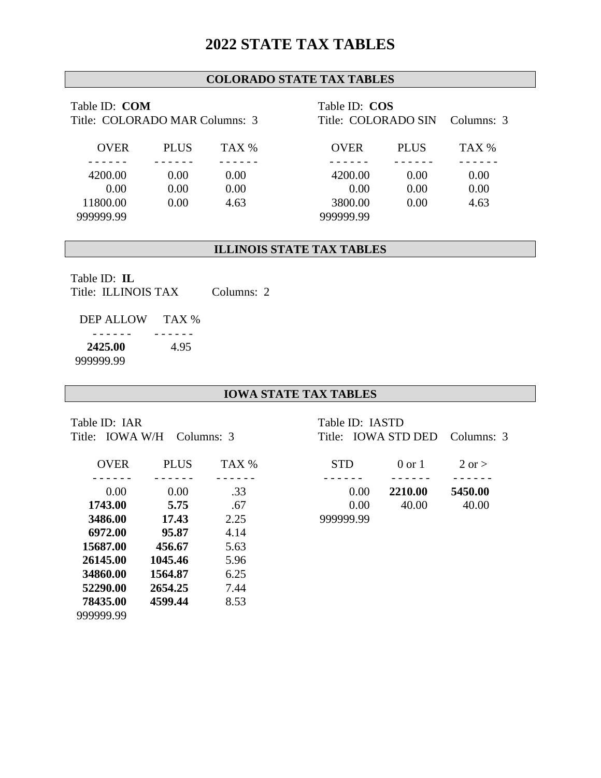## **2022 STATE TAX TABLES**

## **COLORADO STATE TAX TABLES**

| Table ID: COM<br>Title: COLORADO MAR Columns: 3 |             |       | Table ID: COS<br>Title: COLORADO SIN<br>Columns: 3 |             |       |
|-------------------------------------------------|-------------|-------|----------------------------------------------------|-------------|-------|
| <b>OVER</b>                                     | <b>PLUS</b> | TAX % | <b>OVER</b>                                        | <b>PLUS</b> | TAX % |
|                                                 |             |       |                                                    |             |       |
| 4200.00                                         | 0.00        | 0.00  | 4200.00                                            | 0.00        | 0.00  |
| 0.00                                            | 0.00        | 0.00  | 0.00                                               | 0.00        | 0.00  |
| 11800.00                                        | 0.00        | 4.63  | 3800.00                                            | 0.00        | 4.63  |
| 999999.99                                       |             |       | 999999.99                                          |             |       |

#### **ILLINOIS STATE TAX TABLES**

Table ID: **IL** Title: ILLINOIS TAX Columns: 2

 DEP ALLOW TAX % - - - - - - - - - - - - **2425.00** 4.95 999999.99

### **IOWA STATE TAX TABLES**

Table ID: IAR

| <b>OVER</b> | <b>PLUS</b> | TAX % | <b>STD</b> | $0$ or $1$ | $2 \text{ or } >$ |
|-------------|-------------|-------|------------|------------|-------------------|
|             |             |       |            |            |                   |
| 0.00        | 0.00        | .33   | 0.00       | 2210.00    | 5450.00           |
| 1743.00     | 5.75        | .67   | 0.00       | 40.00      | 40.00             |
| 3486.00     | 17.43       | 2.25  | 999999.99  |            |                   |
| 6972.00     | 95.87       | 4.14  |            |            |                   |
| 15687.00    | 456.67      | 5.63  |            |            |                   |
| 26145.00    | 1045.46     | 5.96  |            |            |                   |
| 34860.00    | 1564.87     | 6.25  |            |            |                   |
| 52290.00    | 2654.25     | 7.44  |            |            |                   |
| 78435.00    | 4599.44     | 8.53  |            |            |                   |
| 999999.99   |             |       |            |            |                   |

| Table ID: IAR<br>Title: IOWA W/H Columns: 3 |             |          | Table ID: IASTD<br>Title: IOWA STD DED Columns: 3 |                   |            |  |
|---------------------------------------------|-------------|----------|---------------------------------------------------|-------------------|------------|--|
|                                             |             |          |                                                   |                   |            |  |
| <b>OVER</b>                                 | <b>PLUS</b> | TAX %    | <b>STD</b>                                        | $0 \text{ or } 1$ | $2$ or $>$ |  |
| 0.00                                        | 0.00        | .33      | 0.00                                              | 2210.00           | 5450.00    |  |
| 1743.00                                     | 5.75        | .67      | 0.00                                              | 40.00             | 40.00      |  |
| $2406$ $00$                                 | 17.12       | $\Omega$ | nnnnnn nn                                         |                   |            |  |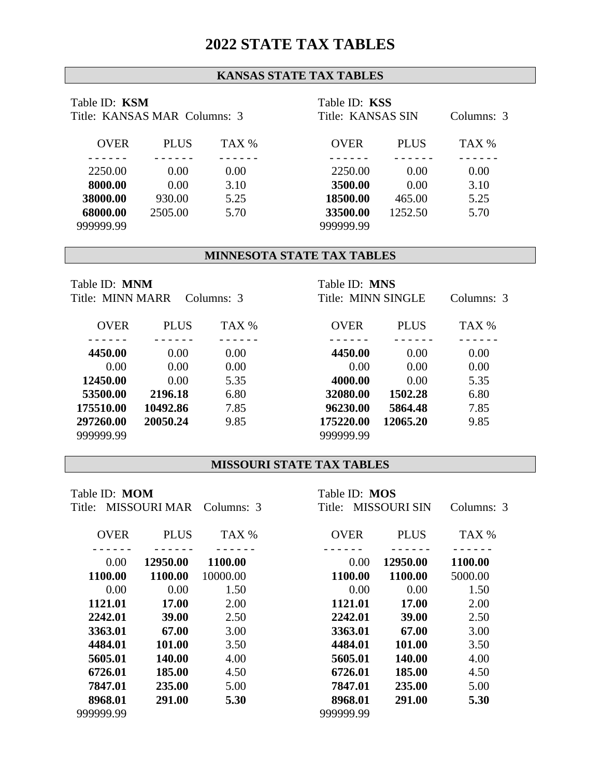## **2022 STATE TAX TABLES**

### **KANSAS STATE TAX TABLES**

| Table ID: KSM<br>Title: KANSAS MAR Columns: 3 |             |       | Table ID: KSS<br>Title: KANSAS SIN<br>Columns: 3 |             |       |
|-----------------------------------------------|-------------|-------|--------------------------------------------------|-------------|-------|
| <b>OVER</b>                                   | <b>PLUS</b> | TAX % | <b>OVER</b>                                      | <b>PLUS</b> | TAX % |
|                                               |             |       |                                                  |             |       |
| 2250.00                                       | 0.00        | 0.00  | 2250.00                                          | 0.00        | 0.00  |
| 8000.00                                       | 0.00        | 3.10  | 3500.00                                          | 0.00        | 3.10  |
| 38000.00                                      | 930.00      | 5.25  | 18500.00                                         | 465.00      | 5.25  |
| 68000.00                                      | 2505.00     | 5.70  | 33500.00                                         | 1252.50     | 5.70  |
| 999999.99                                     |             |       | 999999.99                                        |             |       |

## **MINNESOTA STATE TAX TABLES**

| Table ID: <b>MNM</b><br>Title: MINN MARR<br>Columns: 3 |             |       | Table ID: MNS<br>Title: MINN SINGLE<br>Columns: 3 |             |       |
|--------------------------------------------------------|-------------|-------|---------------------------------------------------|-------------|-------|
| <b>OVER</b>                                            | <b>PLUS</b> | TAX % | <b>OVER</b>                                       | <b>PLUS</b> | TAX % |
|                                                        |             |       |                                                   |             |       |
| 4450.00                                                | 0.00        | 0.00  | 4450.00                                           | 0.00        | 0.00  |
| 0.00                                                   | 0.00        | 0.00  | 0.00                                              | 0.00        | 0.00  |
| 12450.00                                               | 0.00        | 5.35  | 4000.00                                           | 0.00        | 5.35  |
| 53500.00                                               | 2196.18     | 6.80  | 32080.00                                          | 1502.28     | 6.80  |
| 175510.00                                              | 10492.86    | 7.85  | 96230.00                                          | 5864.48     | 7.85  |
| 297260.00                                              | 20050.24    | 9.85  | 175220.00                                         | 12065.20    | 9.85  |
| 999999.99                                              |             |       | 999999.99                                         |             |       |

#### **MISSOURI STATE TAX TABLES**

| Table ID: <b>MOM</b><br>MISSOURI MAR Columns: 3<br>Title: |              |          | Table ID: MOS<br>Title: MISSOURI SIN |              | Columns: 3 |  |
|-----------------------------------------------------------|--------------|----------|--------------------------------------|--------------|------------|--|
| <b>OVER</b>                                               | <b>PLUS</b>  | TAX %    | <b>OVER</b>                          | <b>PLUS</b>  | TAX %      |  |
| 0.00                                                      | 12950.00     | 1100.00  | 0.00                                 | 12950.00     | 1100.00    |  |
| 1100.00                                                   | 1100.00      | 10000.00 | 1100.00                              | 1100.00      | 5000.00    |  |
| 0.00                                                      | 0.00         | 1.50     | 0.00                                 | 0.00         | 1.50       |  |
| 1121.01                                                   | <b>17.00</b> | 2.00     | 1121.01                              | <b>17.00</b> | 2.00       |  |
| 2242.01                                                   | 39.00        | 2.50     | 2242.01                              | 39.00        | 2.50       |  |
| 3363.01                                                   | 67.00        | 3.00     | 3363.01                              | 67.00        | 3.00       |  |
| 4484.01                                                   | 101.00       | 3.50     | 4484.01                              | 101.00       | 3.50       |  |
| 5605.01                                                   | 140.00       | 4.00     | 5605.01                              | 140.00       | 4.00       |  |
| 6726.01                                                   | 185.00       | 4.50     | 6726.01                              | 185.00       | 4.50       |  |
| 7847.01                                                   | 235.00       | 5.00     | 7847.01                              | 235.00       | 5.00       |  |
| 8968.01                                                   | 291.00       | 5.30     | 8968.01                              | 291.00       | 5.30       |  |
| 999999.99                                                 |              |          | 999999.99                            |              |            |  |